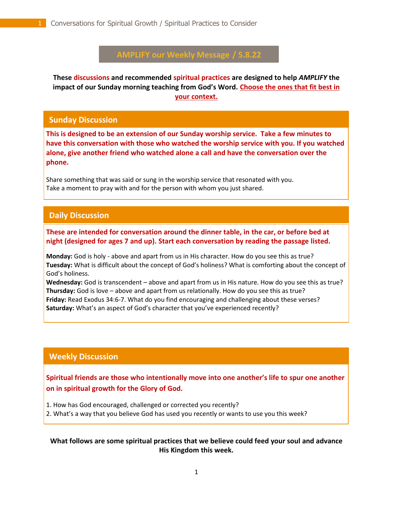# **AMPLIFY our Weekly Message / 5.8.22**

**These discussions and recommended spiritual practices are designed to help** *AMPLIFY* **the impact of our Sunday morning teaching from God's Word. Choose the ones that fit best in your context.**

#### **Sunday Discussion**

**This is designed to be an extension of our Sunday worship service. Take a few minutes to have this conversation with those who watched the worship service with you. If you watched alone, give another friend who watched alone a call and have the conversation over the phone.**

Share something that was said or sung in the worship service that resonated with you. Take a moment to pray with and for the person with whom you just shared.

# **Daily Discussion**

. **These are intended for conversation around the dinner table, in the car, or before bed at night (designed for ages 7 and up). Start each conversation by reading the passage listed.**

**Monday:** God is holy - above and apart from us in His character. How do you see this as true? **Tuesday:** What is difficult about the concept of God's holiness? What is comforting about the concept of God's holiness.

**Wednesday:** God is transcendent – above and apart from us in His nature. How do you see this as true? **Thursday:** God is love – above and apart from us relationally. How do you see this as true? **Friday:** Read Exodus 34:6-7. What do you find encouraging and challenging about these verses? **Saturday:** What's an aspect of God's character that you've experienced recently?

## **Weekly Discussion**

**Spiritual friends are those who intentionally move into one another's life to spur one another on in spiritual growth for the Glory of God.** 

- 1. How has God encouraged, challenged or corrected you recently?
- 2. What's a way that you believe God has used you recently or wants to use you this week?

## **What follows are some spiritual practices that we believe could feed your soul and advance His Kingdom this week.**